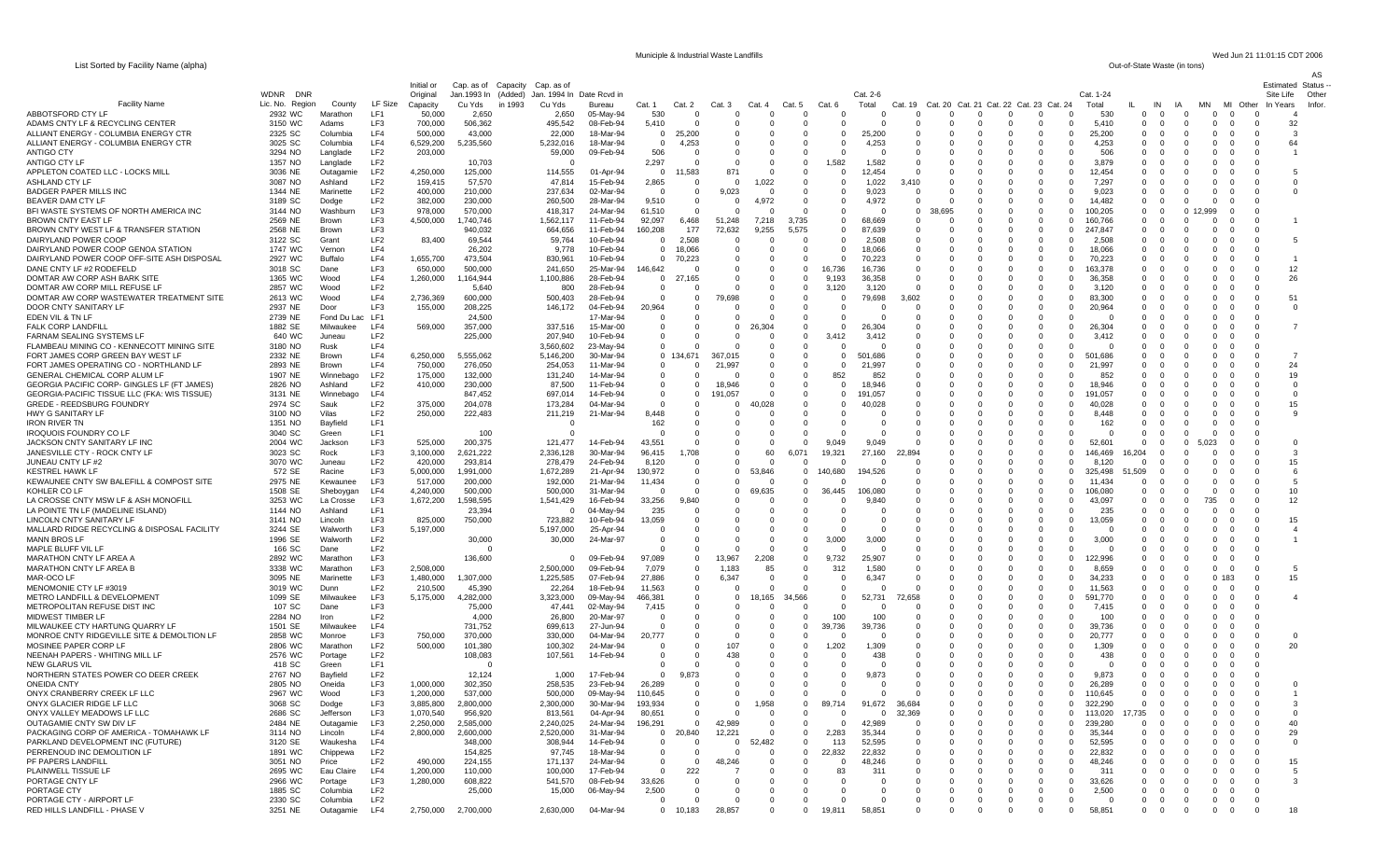List Sorted by Facility Name (alpha)

Municiple & Industrial Waste Landfills Wed Jun 21 11:01:15 CDT 2006<br>Out-of-State Waste (in tons)

AS

|                                                                               |                                       |                          |                                    | Initial or             | Cap. as of                    | Capacity | Cap. as of                          |                        |                          |                       |                     |                        |                            |                 |                   |                   |                          |                                              |                                    |                               |                              |                                              |               |                                              | <b>Estimated Status</b> |                 |
|-------------------------------------------------------------------------------|---------------------------------------|--------------------------|------------------------------------|------------------------|-------------------------------|----------|-------------------------------------|------------------------|--------------------------|-----------------------|---------------------|------------------------|----------------------------|-----------------|-------------------|-------------------|--------------------------|----------------------------------------------|------------------------------------|-------------------------------|------------------------------|----------------------------------------------|---------------|----------------------------------------------|-------------------------|-----------------|
| <b>Facility Name</b>                                                          | <b>WDNR</b><br>DNF<br>Lic. No. Region | County                   | LF Size                            | Original<br>Capacity   | Jan.1993 In (Added)<br>Cu Yds | in 1993  | Jan. 1994 In Date Rcvd in<br>Cu Yds | Bureau                 | Cat. 1                   | Cat. 2                | Cat. 3              | Cat.                   | Cat. 5                     | Cat.            | Cat. 2-6<br>Total | Cat.<br>19        | Cat. 20                  | Cat. 21                                      | Cat. 22 Cat. 23 Cat. 24            | Cat. 1-24<br>Total            |                              | IN<br>IA                                     | MN            | МI<br>Other                                  | Site Life<br>In Years   | Other<br>Infor. |
| ABBOTSFORD CTY LF                                                             | 2932 WC                               | Marathon                 | LF1                                | 50,000                 | 2,650                         |          | 2,650                               | 05-May-94              | 530                      | n                     | $\Omega$            | O                      | $\Omega$                   |                 |                   |                   | 0                        | $\Omega$                                     | $\Omega$                           | 530                           | $\Omega$                     | $\Omega$                                     |               | $\Omega$                                     |                         |                 |
| ADAMS CNTY LF & RECYCLING CENTER                                              | 3150 WC                               | Adams                    | LF3                                | 700,000                | 506,362                       |          | 495,542                             | 08-Feb-94              | 5,410                    |                       |                     | $\Omega$               | $\Omega$                   |                 |                   |                   | $\Omega$                 | $\Omega$<br>$\Omega$                         | $\Omega$                           | 5,410                         | $\Omega$                     | $\Omega$<br>$\Omega$                         |               | $\Omega$                                     | 32<br>$\Omega$          |                 |
| ALLIANT ENERGY - COLUMBIA ENERGY CTR<br>ALLIANT ENERGY - COLUMBIA ENERGY CTR  | 2325 SC<br>3025 SC                    | Columbia<br>Columbia     | LF4<br>LF4                         | 500,000<br>6,529,200   | 43,000<br>5,235,560           |          | 22,000<br>5,232,016                 | 18-Mar-94<br>18-Mar-94 | 0<br>$\Omega$            | 25,200<br>4,253       | $\Omega$<br>-0      | $\Omega$<br>$\Omega$   | $\Omega$<br>$\Omega$       |                 | 25,200<br>4,253   | - 0<br>- 0        | $\Omega$<br>$\Omega$     | $\Omega$<br>$\Omega$<br>$\Omega$<br>$\Omega$ | $\Omega$<br>- 0<br>$\Omega$<br>- 0 | 25,200<br>4,253               | $\Omega$<br>$\Omega$         | $\Omega$<br>$\Omega$<br>-0<br>0              | - 0<br>0      | $\Omega$<br>- 0<br>$\Omega$<br>- 0           | $\mathbf{B}$<br>64      |                 |
| ANTIGO CTY                                                                    | 3294 NO                               | Langlade                 | LF <sub>2</sub>                    | 203,000                |                               |          | 59,000                              | 09-Feb-94              | 506                      | 0                     | 0                   | - 0                    | $^{\circ}$                 |                 |                   |                   | 0                        | - 0                                          | - 0                                | 506                           | 0                            |                                              |               | -0                                           |                         |                 |
| <b>ANTIGO CTY LF</b>                                                          | 1357 NO                               | Langlade                 | LF <sub>2</sub>                    |                        | 10,703                        |          |                                     |                        | 2,297                    | n                     | C                   | $\sqrt{ }$             | - 0                        | 1,582           | 1,582             |                   | $\Omega$                 | - 0                                          | $\Omega$                           | 3,879                         | $\Omega$                     |                                              |               | - 0                                          |                         |                 |
| APPLETON COATED LLC - LOCKS MILL                                              | 3036 NE                               | Outagamie                | LF <sub>2</sub>                    | 4,250,000              | 125,000                       |          | 114,555                             | 01-Apr-94              | $\mathbf 0$              | 11,583                | 871                 | $\Omega$               | $^{\circ}$                 |                 | 12,454            |                   | $\Omega$                 |                                              | $\Omega$                           | 12,454                        | $\Omega$                     | - 0                                          |               | - 0                                          |                         |                 |
| ASHLAND CTY LF<br><b>BADGER PAPER MILLS INC</b>                               | 3087 NO<br>1344 NE                    | Ashland<br>Marinette     | LF <sub>2</sub><br>LF <sub>2</sub> | 159,415<br>400,000     | 57,570<br>210,000             |          | 47,814<br>237,634                   | 15-Feb-94<br>02-Mar-94 | 2,865<br>$\Omega$        | 0<br>$\Omega$         | $^{\circ}$<br>9,023 | 1,022<br>$\Omega$      | $^{\circ}$<br>$\Omega$     |                 | 1,022<br>9,023    | 3,410<br>$\Omega$ | 0<br>$\Omega$            | $\Omega$<br>$\overline{0}$<br>$\Omega$       | $\Omega$<br>$\Omega$               | 7,297<br>9.023                | $\mathbf{0}$<br>$\Omega$     | $\Omega$<br>0<br>$\Omega$<br>$\Omega$        | 0             | $\Omega$<br>- 0<br>$\Omega$<br>- 0           | $\Omega$<br>$\Omega$    |                 |
| BEAVER DAM CTY LF                                                             | 3189 SC                               | Dodge                    | LF <sub>2</sub>                    | 382,000                | 230,000                       |          | 260,500                             | 28-Mar-94              | 9,510                    | $\Omega$              | $\Omega$            | 4,972                  | $\Omega$                   |                 | 4,972             |                   | $\Omega$                 |                                              | $\Omega$                           | 14.482                        | $\Omega$                     |                                              |               | $\Omega$<br>- 0                              |                         |                 |
| BFI WASTE SYSTEMS OF NORTH AMERICA INC                                        | 3144 NO                               | Washburn                 | LF3                                | 978,000                | 570,000                       |          | 418,317                             | 24-Mar-94              | 61,510                   | 0                     | $^{\circ}$          | $\Omega$               | - 0                        |                 |                   | $\Omega$          | 38,695                   | $\Omega$                                     | $\Omega$                           | 100,205                       | $^{\circ}$                   | - 0<br>0                                     |               | -0                                           |                         |                 |
| <b>BROWN CNTY EAST LF</b>                                                     | 2569 NE                               | Brown                    | LF3<br>LF3                         | 4,500,000              | 1,740,746                     |          | 1,562,117                           | 11-Feb-94              | 92,097                   | 6,468<br>177          | 51,248              | 7,218                  | 3,735<br>5.575             |                 | 68.669<br>87.639  | $\Omega$          | $\Omega$<br>$\Omega$     | $\Omega$                                     | $\Omega$                           | 160,766                       | $\Omega$<br>$\Omega$         | - 0                                          |               | $\Omega$                                     |                         |                 |
| BROWN CNTY WEST LF & TRANSFER STATION<br>DAIRYLAND POWER COOP                 | 2568 NE<br>3122 SC                    | Brown<br>Grant           | LF <sub>2</sub>                    | 83,400                 | 940,032<br>69,544             |          | 664,656<br>59,764                   | 11-Feb-94<br>10-Feb-94 | 160,208<br>0             | 2,508                 | 72,632<br>0         | 9,255<br>$\Omega$      | $^{\circ}$                 |                 | 2,508             | - 0               | $\Omega$                 | - 0<br>0                                     | 0                                  | 247,847<br>2,508              | $^{\circ}$                   | $\Omega$                                     |               | - 0<br>$\Omega$<br>- 0                       | -5                      |                 |
| DAIRYLAND POWER COOP GENOA STATION                                            | 1747 WC                               | Vernon                   | LF4                                |                        | 26,202                        |          | 9,778                               | 10-Feb-94              | $^{\circ}$               | 18,066                | $\Omega$            | $\Omega$               | $\Omega$                   |                 | 18.066            | $\Omega$          | $\Omega$                 | $\Omega$<br>$\Omega$                         | $\Omega$                           | 18,066                        | $\Omega$                     | $\Omega$<br>O                                |               | $\Omega$<br>$\Omega$                         |                         |                 |
| DAIRYLAND POWER COOP OFF-SITE ASH DISPOSAL                                    | 2927 WC                               | Buffalo                  | LF4                                | 1,655,700              | 473,504                       |          | 830,961                             | 10-Feb-94              | $^{\circ}$               | 70,223                |                     | -0                     | $\Omega$                   |                 | 70,223            |                   | 0                        |                                              | $\Omega$                           | 70,223                        | $\Omega$                     |                                              |               | - 0                                          |                         |                 |
| DANE CNTY LF #2 RODEFELD<br>DOMTAR AW CORP ASH BARK SITE                      | 3018 SC<br>1365 WC                    | Dane<br>Wood             | LF3<br>LF4                         | 650,000<br>1,260,000   | 500,000<br>1,164,944          |          | 241,650<br>1,100,886                | 25-Mar-94<br>28-Feb-94 | 146,642<br>$^{\circ}$    | -27<br>165            | 0<br>$\Omega$       | 0<br>$\Omega$          | $^{\circ}$<br>$^{\circ}$   | 16,736<br>9,193 | 16,736<br>36,358  | - 0               | $\Omega$<br>$\Omega$     | - 0                                          | $\Omega$<br>- 0<br>$\Omega$        | 163,378<br>36,358             | $\Omega$<br>$\Omega$         |                                              |               | - 0<br>- 0                                   | 12<br>26                |                 |
| DOMTAR AW CORP MILL REFUSE LF                                                 | 2857 WC                               | Wood                     | LF <sub>2</sub>                    |                        | 5,640                         |          | 800                                 | 28-Feb-94              | 0                        |                       | C                   | 0                      | $\Omega$                   | 3,120           | 3,120             |                   | 0                        |                                              |                                    | 3,120                         | 0                            |                                              |               |                                              |                         |                 |
| DOMTAR AW CORP WASTEWATER TREATMENT SITE                                      | 2613 WC                               | Wood                     | LF4                                | 2,736,369              | 600,000                       |          | 500,403                             | 28-Feb-94              | 0                        | 0                     | 9,698               | 0                      | $\Omega$                   |                 | 79,698            | 3,602             | $\Omega$                 | $\Omega$                                     | - 0                                | 83,300                        | $\Omega$                     | - 0                                          |               | $\Omega$<br>- 0                              | 51                      |                 |
| DOOR CNTY SANITARY LF                                                         | 2937 NE                               | Door                     | LF3                                | 155,000                | 208,225                       |          | 146,172                             | 04-Feb-94              | 20,964                   |                       | $\Omega$            | $\Omega$               | $\Omega$                   |                 |                   |                   | $\Omega$                 | $\Omega$<br>$\Omega$                         | $\Omega$                           | 20,964                        | $\Omega$                     | $\Omega$<br>$\Omega$                         |               | $\Omega$<br>$\Omega$                         | - 0                     |                 |
| EDEN VIL & TN LF<br><b>FALK CORP LANDFILL</b>                                 | 2739 NE<br>1882 SE                    | Fond Du Lac<br>Milwaukee | LF1<br>LF4                         | 569,000                | 24,500<br>357,000             |          | 337,516                             | 17-Mar-94<br>15-Mar-00 | 0<br>0                   | 0                     | 0                   | 26,304                 | $\Omega$<br>- 0            |                 | 26.304            | - 0               | $\Omega$<br>$\Omega$     | - 0                                          | $\Omega$<br>- 0<br>- 0             | 26,304                        | $\Omega$<br>$\Omega$         | -0                                           | 0             | - 0<br>- 0<br>-0                             |                         |                 |
| FARNAM SEALING SYSTEMS LF                                                     | 640 WC                                | Juneau                   | LF <sub>2</sub>                    |                        | 225,000                       |          | 207,940                             | 10-Feb-94              | 0                        | $\Omega$              | $\Omega$            | $\Omega$               | $\overline{\mathbf{0}}$    | 3,412           | 3.412             |                   | $\Omega$                 | $\Omega$                                     | $\Omega$                           | 3,412                         | $\Omega$                     |                                              |               | $\Omega$                                     |                         |                 |
| FLAMBEAU MINING CO - KENNECOTT MINING SITE                                    | 3180 NO                               | Rusk                     | LF4                                |                        |                               |          | 3,560,602                           | 23-May-94              | $\mathbf 0$              |                       | C                   | $\sqrt{ }$             | $\Omega$                   |                 |                   |                   | $\Omega$                 | $\Omega$                                     | $\Omega$                           | - 0                           | $\Omega$                     |                                              |               | - 0                                          |                         |                 |
| FORT JAMES CORP GREEN BAY WEST LF                                             | 2332 NE                               | Brown                    | LF4                                | 6,250,000              | 5,555,062                     |          | 5,146,200                           | 30-Mar-94              |                          | 0 134,671             | 367,015             | $\Omega$               | $\Omega$                   |                 | 501,686           |                   | 0                        | $\Omega$                                     | $\Omega$                           | 501.686                       | $\Omega$                     |                                              |               | - 0                                          |                         |                 |
| FORT JAMES OPERATING CO - NORTHLAND LF<br>GENERAL CHEMICAL CORP ALUM LF       | 2893 NE<br>1907 NE                    | Brown<br>Winnebago       | LF4<br>LF <sub>2</sub>             | 750,000<br>175,000     | 276,050<br>132,000            |          | 254,053<br>131,240                  | 11-Mar-94<br>14-Mar-94 | $^{\circ}$<br>$^{\circ}$ | $\Omega$<br>n         | 21,997<br>$\Omega$  | $\Omega$<br>$\Omega$   | $\Omega$<br>$\Omega$       | 852             | 21,997<br>852     | - 0               | $\Omega$<br>$\Omega$     | $\Omega$<br>0<br>$\Omega$<br>$\Omega$        | $\Omega$<br>$\Omega$               | 21,997<br>852                 | $\Omega$<br>$\Omega$         | $\Omega$<br>0<br>- 0                         |               | - 0                                          | 24<br>$\Omega$<br>19    |                 |
| <b>GEORGIA PACIFIC CORP- GINGLES LF (FT JAMES)</b>                            | 2826 NO                               | Ashland                  | LF <sub>2</sub>                    | 410,000                | 230,000                       |          | 87,500                              | 11-Feb-94              | 0                        | 0                     | 18.946              | O                      | $\Omega$                   |                 | 18.946            | - 0               | 0                        | $\Omega$                                     | $\Omega$                           | 18.946                        | $\Omega$                     | - 0                                          |               | - 0                                          | - 0                     |                 |
| GEORGIA-PACIFIC TISSUE LLC (FKA: WIS TISSUE)                                  | 3131 NE                               | Winnebago                | LF4                                |                        | 847,452                       |          | 697,014                             | 14-Feb-94              | 0                        | $\mathbf 0$           | 191,057             | O                      | - 0                        |                 | 191,057           |                   | 0                        | - 0                                          | - 0                                | 191,057                       | 0                            |                                              |               | -0                                           | - 0                     |                 |
| <b>GREDE - REEDSBURG FOUNDRY</b><br>HWY G SANITARY LF                         | 2974 SC<br>3100 NO                    | Sauk<br>Vilas            | LF <sub>2</sub><br>LF <sub>2</sub> | 375,000<br>250,000     | 204,078<br>222,483            |          | 173,284<br>211,219                  | 04-Mar-94<br>21-Mar-94 | $\Omega$<br>8,448        | n                     | $\Omega$            | 40,028                 | $\Omega$                   |                 | 40,028            |                   | $\Omega$<br>$\Omega$     | $\Omega$<br>$\Omega$                         | - റ                                | 40,028<br>8,448               | $\Omega$<br>$\Omega$         |                                              |               | - 0<br>- 0                                   | 15                      |                 |
| <b>IRON RIVER TN</b>                                                          | 1351 NO                               | Bayfield                 | LF1                                |                        |                               |          |                                     |                        | 162                      |                       |                     | O                      | $\Omega$                   |                 |                   |                   | $\Omega$                 | $\Omega$                                     | $\Omega$                           | 162                           | $^{\circ}$                   | - 0                                          |               | - 0                                          |                         |                 |
| <b>IROQUOIS FOUNDRY CO LF</b>                                                 | 3040 SC                               | Green                    | LF <sub>1</sub>                    |                        | 100                           |          |                                     |                        | $\Omega$                 | 0                     | $\Omega$            | $\Omega$               | $\Omega$                   |                 | $\Omega$          | $\Omega$          | $\Omega$                 | $\Omega$<br>$\Omega$                         | $\Omega$                           | $\Omega$                      | $\Omega$                     | $\Omega$<br>$\Omega$                         |               | $\Omega$<br>- 0                              |                         |                 |
| JACKSON CNTY SANITARY LF INC                                                  | 2004 WC                               | Jackson                  | LF3                                | 525,000                | 200,375                       |          | 121,477                             | 14-Feb-94              | 43,551                   | $\Omega$              | 0                   | $\Omega$               |                            | 9.049           | 9,049             |                   | $\Omega$                 |                                              |                                    | 52.601                        | $\Omega$                     | 0                                            |               |                                              |                         |                 |
| JANESVILLE CTY - ROCK CNTY LF<br>JUNEAU CNTY LF #2                            | 3023 SC<br>3070 WC                    | Rock<br>Juneau           | LF3<br>LF <sub>2</sub>             | 3,100,000<br>420,000   | 2,621,222<br>293,814          |          | 2,336,128<br>278,479                | 30-Mar-94<br>24-Feb-94 | 96,415<br>8,120          | .708<br>-0            | 0<br>$\Omega$       | 60<br>$\Omega$         | 6.071<br>$\Omega$          | 19,321          | 27,160            | 22,894            | $\Omega$<br>$\Omega$     | - 0<br>$\Omega$                              | $\Omega$<br>$\Omega$               | 146,469<br>8,120              | 16,204<br>$\Omega$           |                                              |               | - 0<br>$\Omega$                              | 15                      |                 |
| <b>KESTREL HAWK LF</b>                                                        | 572 SE                                | Racine                   | LF3                                | 5,000,000              | 1,991,000                     |          | 1,672,289                           | 21-Apr-94              | 130,972                  | $\Omega$              | 0                   | 53.846                 | $\Omega$                   | 140,680         | 194,526           |                   | $\Omega$                 | $\Omega$                                     |                                    | 325,498                       | 51,509                       |                                              |               | - 0                                          | 6                       |                 |
| KEWAUNEE CNTY SW BALEFILL & COMPOST SITE                                      | 2975 NE                               | Kewaunee                 | LF3                                | 517,000                | 200,000                       |          | 192,000                             | 21-Mar-94              | 11,434                   | 0                     | $\Omega$            | 0                      | $^{\circ}$                 |                 |                   | - 0               | $\Omega$                 | $\Omega$<br>$\Omega$                         | - 0                                | 11,434                        | 0                            | $\Omega$                                     |               |                                              | 5                       |                 |
| KOHLER CO LF<br>LA CROSSE CNTY MSW LF & ASH MONOFILL                          | 1508 SE<br>3253 WC                    | Sheboygan<br>La Crosse   | LF4<br>LF3                         | 4,240,000              | 500,000<br>1,598,595          |          | 500,000                             | 31-Mar-94<br>16-Feb-94 | $\Omega$                 | $\Omega$<br>).840     | $\Omega$            | 69,635<br>-0           | $\Omega$<br>$\Omega$       | 36.445          | 106,080<br>9,840  |                   | $\Omega$<br>$\Omega$     | $\Omega$<br>$\Omega$<br>$\Omega$             | $\Omega$<br>$\Omega$               | 106,080<br>43,097             | $\Omega$<br>0                | $\Omega$<br>$\Omega$<br>- 0<br>$\Omega$      | 735           | - 0                                          | 10<br>12                |                 |
| LA POINTE TN LF (MADELINE ISLAND)                                             | 1144 NO                               | Ashland                  | LF1                                | 1,672,200              | 23,394                        |          | 1,541,429<br>- 0                    | 04-May-94              | 33,256<br>235            | 0                     | $\Omega$            | - 0                    | $\Omega$                   |                 | - 0               | - 0               | $\Omega$                 | - 0<br>$\Omega$                              | - 0                                | 235                           | $\Omega$                     | - 0                                          |               | - 0                                          |                         |                 |
| LINCOLN CNTY SANITARY LF                                                      | 3141 NO                               | Lincoln                  | LF3                                | 825,000                | 750,000                       |          | 723,882                             | 10-Feb-94              | 13,059                   | 0                     | -C                  | $\Omega$               | $\Omega$                   |                 |                   |                   | $\Omega$                 | $\Omega$                                     | $\Omega$                           | 13,059                        | $\Omega$                     | 0                                            |               | $\Omega$                                     | 15                      |                 |
| MALLARD RIDGE RECYCLING & DISPOSAL FACILITY                                   | 3244 SE                               | Walworth                 | LF3                                | 5,197,000              |                               |          | 5,197,000                           | 25-Apr-94              | $\mathbf 0$              |                       |                     | $\Omega$               | $\Omega$                   |                 |                   |                   | 0                        |                                              |                                    |                               | $\Omega$                     |                                              |               | -0                                           | $\overline{4}$          |                 |
| <b>MANN BROS LF</b><br>MAPLE BLUFF VIL LF                                     | 1996 SE<br>166 SC                     | Walworth<br>Dane         | LF <sub>2</sub><br>LF <sub>2</sub> |                        | 30,000                        |          | 30,000                              | 24-Mar-97              | 0                        |                       | 0<br>C              | - 0<br>-0              | $\Omega$<br>- 0            | 3,000           | 3,000             | - 0               | $\Omega$<br>$\Omega$     | $\Omega$                                     | - 0<br>$\Omega$                    | 3,000<br>$\Omega$             | $\Omega$<br>$\Omega$         | - 0                                          |               | - 0                                          |                         |                 |
| MARATHON CNTY LF AREA A                                                       | 2892 WC                               | Marathon                 | LF3                                |                        | 136,600                       |          |                                     | 09-Feb-94              | 97,089                   | 0                     | 13,967              | 2,208                  | $\Omega$                   | 9,732           | 25,907            |                   |                          |                                              |                                    | 122,996                       |                              |                                              |               | - 0                                          |                         |                 |
| MARATHON CNTY LF AREA B                                                       | 3338 WC                               | Marathon                 | LF3                                | 2.508.000              |                               |          | 2,500,000                           | 09-Feb-94              | 7,079                    | $\Omega$              | 1,183               | 85                     | $\Omega$                   | 312             | 1,580             | - 0               | $\Omega$                 | - 0                                          | - 0                                | 8,659                         | $\Omega$                     | -0                                           | 0             | $\Omega$<br>- 0                              | -5                      |                 |
| MAR-OCO LF                                                                    | 3095 NE                               | Marinette                | LF3                                | 1,480,000              | 1,307,000                     |          | 1,225,585                           | 07-Feb-94              | 27,886                   | 0                     | 6,347<br>C          | - 0<br>$\Omega$        | - 0<br>$\Omega$            | $\Omega$        | 6,347             |                   | $\Omega$<br>$\Omega$     | $\Omega$<br>$\Omega$                         | $\Omega$                           | 34.233                        | $\Omega$                     | $\Omega$<br>$\Omega$                         |               | 183<br>$\Omega$                              | 15                      |                 |
| MENOMONIE CTY LF #3019<br>METRO LANDFILL & DEVELOPMENT                        | 3019 WC<br>1099 SE                    | Dunn<br>Milwaukee        | LF <sub>2</sub><br>LF3             | 210,500<br>5,175,000   | 45,390<br>4,282,000           |          | 22,264<br>3,323,000                 | 18-Feb-94<br>09-May-94 | 11,563<br>466,381        | 0<br>0                | 0                   | 165                    | 34.566                     |                 | 52.731            | 72,658            | 0                        | $\Omega$                                     | - 0                                | 11,563<br>591.770             | $\Omega$<br>$\Omega$         | -0<br>$^{(1)}$                               | $\Omega$      | - 0<br>$\Omega$<br>- 0                       |                         |                 |
| METROPOLITAN REFUSE DIST INC                                                  | 107 SC                                | Dane                     | LF3                                |                        | 75,000                        |          | 47,441                              | 02-May-94              | 7,415                    | $\Omega$              | $\Omega$            | O                      | $\Omega$                   | $\Omega$        | $\Omega$          |                   | $\Omega$                 | $\Omega$<br>$\Omega$                         | $\Omega$                           | 7,415                         | $\Omega$                     | $\Omega$<br>$\Omega$                         |               | $\Omega$                                     |                         |                 |
| MIDWEST TIMBER LF                                                             | 2284 NO                               | Iron                     | LF <sub>2</sub>                    |                        | 4,000                         |          | 26,800                              | 20-Mar-97              | - 0                      | n                     | $\Omega$            | $\Omega$               | $\Omega$                   | 100             | 100               | - 0               | $\Omega$                 | $\Omega$<br>$\Omega$                         | $\Omega$                           | 100                           | $\Omega$                     | - 0                                          |               | - 0                                          |                         |                 |
| MILWAUKEE CTY HARTUNG QUARRY LF<br>MONROE CNTY RIDGEVILLE SITE & DEMOLTION LF | 1501 SE<br>2858 WC                    | Milwaukee<br>Monroe      | LF4<br>LF3                         | 750,000                | 731,752<br>370,000            |          | 699,613<br>330,000                  | 27-Jun-94<br>04-Mar-94 | $\Omega$<br>20,777       | 0                     | 0<br>0              | $\Omega$<br>0          | $^{\circ}$<br>$^{\circ}$   | 39,736          | 39,736            | - 0               | 0<br>0                   | $\Omega$<br>- 0                              | $\Omega$<br>- 0                    | 39,736<br>20,777              | $\Omega$<br>0                | - 0                                          |               | $\Omega$<br>- 0<br>-0                        | $\mathbf 0$             |                 |
| MOSINEE PAPER CORP LF                                                         | 2806 WC                               | Marathon                 | LF <sub>2</sub>                    | 500,000                | 101,380                       |          | 100,302                             | 24-Mar-94              | 0                        | n                     | 107                 | $\Omega$               | $\Omega$                   | 1,202           | 1,309             | റ                 | $\Omega$                 | $\Omega$                                     | - റ                                | 1,309                         | $\Omega$                     |                                              |               | - 0                                          | 20                      |                 |
| NEENAH PAPERS - WHITING MILL LF                                               | 2576 WC                               | Portage                  | LF <sub>2</sub>                    |                        | 108,083                       |          | 107,561                             | 14-Feb-94              | 0                        |                       | 438                 | $\Omega$               | 0                          |                 | 438               |                   | 0                        | $\Omega$                                     | $\Omega$                           | 438                           | $\Omega$                     |                                              |               |                                              |                         |                 |
| <b>NEW GLARUS VIL</b>                                                         | 418 SC                                | Green                    | LF1                                |                        |                               |          |                                     |                        | 0                        |                       | 0                   | 0                      |                            |                 |                   |                   | $\Omega$                 | $\Omega$                                     | - 0                                | റ                             | $^{\circ}$                   |                                              |               |                                              |                         |                 |
| NORTHERN STATES POWER CO DEER CREEK<br><b>ONEIDA CNTY</b>                     | 2767 NO<br>2805 NO                    | Bayfield<br>Oneida       | LF <sub>2</sub><br>LF3             | 1,000,000              | 12,124<br>302,350             |          | 1,000<br>258,535                    | 17-Feb-94<br>23-Feb-94 | $\Omega$<br>26,289       |                       | $\Omega$            | $\Omega$               | $\Omega$                   |                 | 9,873             | - 0               | $\Omega$<br>$\Omega$     | $\Omega$<br>$\Omega$<br>$\Omega$             | $\Omega$<br>$\Omega$               | 9,873<br>26,289               | $\Omega$<br>$^{\circ}$       | $\Omega$<br>$\Omega$<br>$\Omega$<br>$\Omega$ | റ<br>$\Omega$ | $\Omega$<br>$\Omega$<br>$\Omega$<br>$\Omega$ |                         |                 |
| ONYX CRANBERRY CREEK LF LLC                                                   | 2967 WC                               | Wood                     | LF3                                | 1,200,000              | 537,000                       |          | 500,000                             | 09-May-94              | 110,645                  | $\Omega$              | $\Omega$            | $\Omega$               |                            |                 |                   |                   | $\Omega$                 | $\Omega$<br>$\Omega$                         | $\Omega$                           | 110,645                       | $\mathbf{0}$                 | $\mathbf{0}$<br>$\mathbf 0$                  | $^{\circ}$    | $\Omega$<br>$\Omega$                         |                         |                 |
| ONYX GLACIER RIDGE LF LLC                                                     | 3068 SC                               | Doage                    | LF3                                | 3,885,800              | 2,800,000                     |          | 2,300,000                           | 30-Mar-94              | 193,934                  |                       |                     |                        |                            |                 |                   | 36,68             |                          |                                              |                                    |                               |                              |                                              |               |                                              |                         |                 |
| ONYX VALLEY MEADOWS LF LLC                                                    | 2686 SC                               | Jefferson                | LF3                                | 1,070,540              | 956,920                       |          | 813,561                             | 04-Apr-94              | 80,651                   | $\Omega$              | $\Omega$            | $\mathbf 0$            | 0                          |                 | $\Omega$          | 32,369            | 0                        | $\mathbf 0$                                  | $\Omega$                           | 113,020<br>$\Omega$           | 17,735                       |                                              |               | $\Omega$<br>$\Omega$                         | $\Omega$                |                 |
| OUTAGAMIE CNTY SW DIV LF<br>PACKAGING CORP OF AMERICA - TOMAHAWK LF           | 2484 NE<br>3114 NO                    | Outagamie<br>Lincoln     | LF3<br>LF4                         | 2,250,000<br>2,800,000 | 2,585,000<br>2,600,000        |          | 2,240,025<br>2,520,000              | 24-Mar-94<br>31-Mar-94 | 196,291<br>$^{\circ}$    | $\mathbf 0$<br>20,840 | 42,989<br>12,221    | $^{\circ}$<br>$\Omega$ | $^{\circ}$<br>$\Omega$     | 2,283           | 42,989<br>35,344  | $\Omega$          | $\mathbf{0}$<br>$\Omega$ | $^{\circ}$<br>$\Omega$<br>$\Omega$           | - 0<br>$\Omega$                    | 239,280<br>$\Omega$<br>35,344 | $^{\circ}$<br>$\Omega$       | $\Omega$<br>$\Omega$<br>$\Omega$             |               | -0<br>$\Omega$                               | 40<br>29                |                 |
| PARKLAND DEVELOPMENT INC (FUTURE)                                             | 3120 SE                               | Waukesha                 | LF4                                |                        | 348,000                       |          | 308,944                             | 14-Feb-94              | $^{\circ}$               | 0                     | - 0                 | 52,482                 | $^{\circ}$                 | 113             | 52,595            | $\Omega$          | $\mathbf{0}$             | $\mathbf 0$<br>$\Omega$                      | $\overline{0}$<br>- 0              | 52,595                        | $\mathbf{0}$                 | $\mathbf{0}$<br>0                            | 0             | $\Omega$<br>-0                               | $\mathbf 0$             |                 |
| PERRENOUD INC DEMOLITION LF                                                   | 1891 WC                               | Chippewa                 | LF <sub>2</sub>                    |                        | 154,825                       |          | 97,745                              | 18-Mar-94              | 0                        | 0                     | - 0                 | $^{\circ}$             | $\overline{\mathbf{0}}$    | 22,832          | 22,832            | $\Omega$          | $\mathbf{0}$             | $^{\circ}$<br>$\Omega$                       | $\overline{0}$<br>- 0              | 22,832                        | $\mathbf{0}$                 | $\mathbf{0}$<br>0                            |               | $\Omega$<br>- 0                              |                         |                 |
| PF PAPERS LANDFILL<br>PLAINWELL TISSUE LF                                     | 3051 NO                               | Price<br>Eau Claire      | LF2<br>LF4                         | 490,000                | 224,155                       |          | 171,137                             | 24-Mar-94              | $^{\circ}$<br>0          | 0                     | 48,246<br>- 7       | $\overline{0}$<br>0    | $\mathbf 0$<br>$\mathbf 0$ | - 0<br>83       | 48,246            | $\Omega$          | $\Omega$<br>$\Omega$     | $^{\circ}$<br>0<br>$\mathbf 0$               | $\Omega$<br>$\Omega$               | 48,246                        | $\mathbf{0}$<br>$\mathbf{0}$ | $\Omega$<br>$\Omega$                         |               | $\Omega$<br>- 0                              | 15<br>-5                |                 |
| PORTAGE CNTY LF                                                               | 2695 WC<br>2966 WC                    | Portage                  | LF3                                | 1,200,000<br>1,280,000 | 110,000<br>608,822            |          | 100,000<br>541,570                  | 17-Feb-94<br>08-Feb-94 | 33,626                   | 222<br>0              | $\mathbf 0$         | 0                      | $^{\circ}$                 |                 | 311<br>- 0        | $\Omega$          | $\mathbf{0}$             | $^{\circ}$<br>0                              | $\overline{0}$<br>- 0              | 311<br>33,626                 | $\mathbf{0}$                 | 0<br>0                                       |               | - 0                                          | -3                      |                 |
| PORTAGE CTY                                                                   | 1885 SC                               | Columbia                 | LF2                                |                        | 25,000                        |          | 15,000                              | 06-May-94              | 2,500                    | 0                     | - 0                 | 0                      | 0                          |                 | $\Omega$          | $\Omega$          | $\mathbf 0$              | $^{\circ}$<br>$\mathbf{0}$                   | $\mathbf 0$<br>- 0                 | 2,500                         | $\mathbf 0$                  | $\mathbf{0}$<br>0                            | $\Omega$      | $\Omega$<br>$\Omega$                         |                         |                 |
| PORTAGE CTY - AIRPORT LF                                                      | 2330 SC                               | Columbia                 | LF <sub>2</sub>                    |                        |                               |          |                                     |                        | 0                        | $\Omega$              | $\Omega$            | 0                      | $\mathbf 0$                |                 | $\Omega$          | $\Omega$          | $\mathbf 0$              | $\overline{0}$<br>$\mathbf{0}$               | $\mathbf 0$<br>$\Omega$            | $\Omega$                      | $\mathbf{0}$                 | $\mathbf 0$<br>$\mathbf{0}$                  | $^{\circ}$    | $\mathbf 0$<br>$^{\circ}$                    |                         |                 |
| RED HILLS LANDFILL - PHASE V                                                  | 3251 NE                               | Outagamie                | LF4                                |                        | 2,750,000 2,700,000           |          | 2,630,000                           | 04-Mar-94              | $\mathbf{0}$             | 10,183                | 28,857              | 0                      | $\mathbf 0$                | 19,811          | 58,851            | $\Omega$          | $\mathbf 0$              | $\mathbf 0$<br>$\Omega$                      | $\overline{0}$                     | 58,851<br>$\mathbf{0}$        | $\overline{0}$               | $\overline{0}$<br>0                          | $\mathbf{0}$  | $\mathbf 0$                                  | $\mathbf 0$<br>18       |                 |